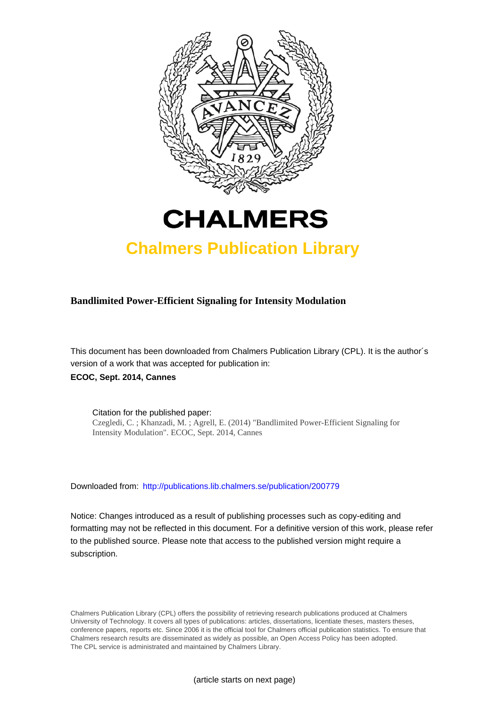



# **Chalmers Publication Library**

# **Bandlimited Power-Efficient Signaling for Intensity Modulation**

This document has been downloaded from Chalmers Publication Library (CPL). It is the author´s version of a work that was accepted for publication in: **ECOC, Sept. 2014, Cannes**

Citation for the published paper: Czegledi, C. ; Khanzadi, M. ; Agrell, E. (2014) "Bandlimited Power-Efficient Signaling for Intensity Modulation". ECOC, Sept. 2014, Cannes

Downloaded from: <http://publications.lib.chalmers.se/publication/200779>

Notice: Changes introduced as a result of publishing processes such as copy-editing and formatting may not be reflected in this document. For a definitive version of this work, please refer to the published source. Please note that access to the published version might require a subscription.

Chalmers Publication Library (CPL) offers the possibility of retrieving research publications produced at Chalmers University of Technology. It covers all types of publications: articles, dissertations, licentiate theses, masters theses, conference papers, reports etc. Since 2006 it is the official tool for Chalmers official publication statistics. To ensure that Chalmers research results are disseminated as widely as possible, an Open Access Policy has been adopted. The CPL service is administrated and maintained by Chalmers Library.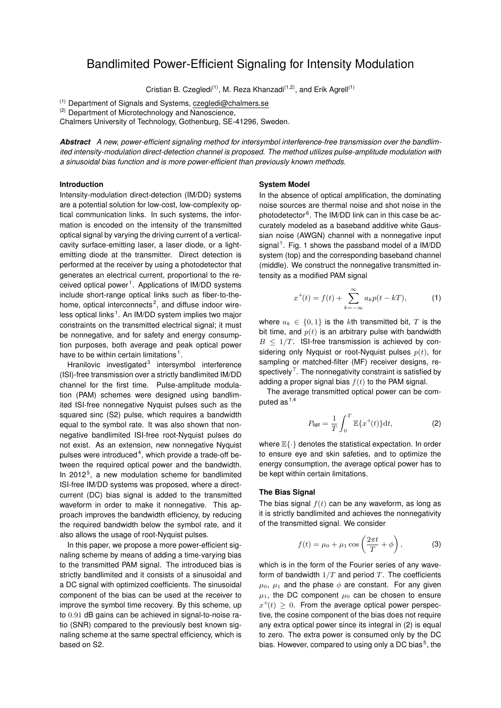# Bandlimited Power-Efficient Signaling for Intensity Modulation

Cristian B. Czegledi<sup>(1)</sup>, M. Reza Khanzadi<sup>(1,2)</sup>, and Erik Agrell<sup>(1)</sup>

(1) Department of Signals and Systems, czegledi@chalmers.se

 $(2)$  Department of Microtechnology and Nanoscience,

Chalmers University of Technology, Gothenburg, SE-41296, Sweden.

*Abstract A new, power-efficient signaling method for intersymbol interference-free transmission over the bandlimited intensity-modulation direct-detection channel is proposed. The method utilizes pulse-amplitude modulation with a sinusoidal bias function and is more power-efficient than previously known methods.*

# **Introduction**

Intensity-modulation direct-detection (IM/DD) systems are a potential solution for low-cost, low-complexity optical communication links. In such systems, the information is encoded on the intensity of the transmitted optical signal by varying the driving current of a verticalcavity surface-emitting laser, a laser diode, or a lightemitting diode at the transmitter. Direct detection is performed at the receiver by using a photodetector that generates an electrical current, proportional to the re-ceived optical power<sup>[1](#page-3-0)</sup>. Applications of IM/DD systems include short-range optical links such as fiber-to-thehome, optical interconnects $2$ , and diffuse indoor wire-less optical links<sup>[1](#page-3-0)</sup>. An IM/DD system implies two major constraints on the transmitted electrical signal; it must be nonnegative, and for safety and energy consumption purposes, both average and peak optical power have to be within certain limitations<sup>[1](#page-3-0)</sup>.

Hranilovic investigated<sup>[3](#page-3-2)</sup> intersymbol interference (ISI)-free transmission over a strictly bandlimited IM/DD channel for the first time. Pulse-amplitude modulation (PAM) schemes were designed using bandlimited ISI-free nonnegative Nyquist pulses such as the squared sinc (S2) pulse, which requires a bandwidth equal to the symbol rate. It was also shown that nonnegative bandlimited ISI-free root-Nyquist pulses do not exist. As an extension, new nonnegative Nyquist pulses were introduced<sup>[4](#page-3-3)</sup>, which provide a trade-off between the required optical power and the bandwidth. In 2012<sup>[5](#page-3-4)</sup>, a new modulation scheme for bandlimited ISI-free IM/DD systems was proposed, where a directcurrent (DC) bias signal is added to the transmitted waveform in order to make it nonnegative. This approach improves the bandwidth efficiency, by reducing the required bandwidth below the symbol rate, and it also allows the usage of root-Nyquist pulses.

In this paper, we propose a more power-efficient signaling scheme by means of adding a time-varying bias to the transmitted PAM signal. The introduced bias is strictly bandlimited and it consists of a sinusoidal and a DC signal with optimized coefficients. The sinusoidal component of the bias can be used at the receiver to improve the symbol time recovery. By this scheme, up to 0.91 dB gains can be achieved in signal-to-noise ratio (SNR) compared to the previously best known signaling scheme at the same spectral efficiency, which is based on S2.

#### **System Model**

In the absence of optical amplification, the dominating noise sources are thermal noise and shot noise in the photodetector<sup>[6](#page-3-5)</sup>. The IM/DD link can in this case be accurately modeled as a baseband additive white Gaussian noise (AWGN) channel with a nonnegative input signal<sup>[1](#page-2-0)</sup>. Fig. 1 shows the passband model of a IM/DD system (top) and the corresponding baseband channel (middle). We construct the nonnegative transmitted intensity as a modified PAM signal

$$
x^{+}(t) = f(t) + \sum_{k=-\infty}^{\infty} a_k p(t - kT),
$$
 (1)

where  $a_k \in \{0,1\}$  is the kth transmitted bit, T is the bit time, and  $p(t)$  is an arbitrary pulse with bandwidth  $B < 1/T$ . ISI-free transmission is achieved by considering only Nyquist or root-Nyquist pulses  $p(t)$ , for sampling or matched-filter (MF) receiver designs, re-spectively<sup>[7](#page-3-6)</sup>. The nonnegativity constraint is satisfied by adding a proper signal bias  $f(t)$  to the PAM signal.

The average transmitted optical power can be computed as  $1,4$  $1,4$ 

<span id="page-1-0"></span>
$$
P_{\text{opt}} = \frac{1}{T} \int_0^T \mathbb{E}\{x^+(t)\} \mathrm{d}t,\tag{2}
$$

where  $\mathbb{E}\{\cdot\}$  denotes the statistical expectation. In order to ensure eye and skin safeties, and to optimize the energy consumption, the average optical power has to be kept within certain limitations.

## **The Bias Signal**

The bias signal  $f(t)$  can be any waveform, as long as it is strictly bandlimited and achieves the nonnegativity of the transmitted signal. We consider

<span id="page-1-1"></span>
$$
f(t) = \mu_0 + \mu_1 \cos\left(\frac{2\pi t}{T} + \phi\right), \tag{3}
$$

which is in the form of the Fourier series of any waveform of bandwidth  $1/T$  and period  $T$ . The coefficients  $\mu_0$ ,  $\mu_1$  and the phase  $\phi$  are constant. For any given  $\mu_1$ , the DC component  $\mu_0$  can be chosen to ensure  $x^+(t) \geq 0$ . From the average optical power perspective, the cosine component of the bias does not require any extra optical power since its integral in [\(2\)](#page-1-0) is equal to zero. The extra power is consumed only by the DC bias. However, compared to using only a DC bias<sup>[5](#page-3-4)</sup>, the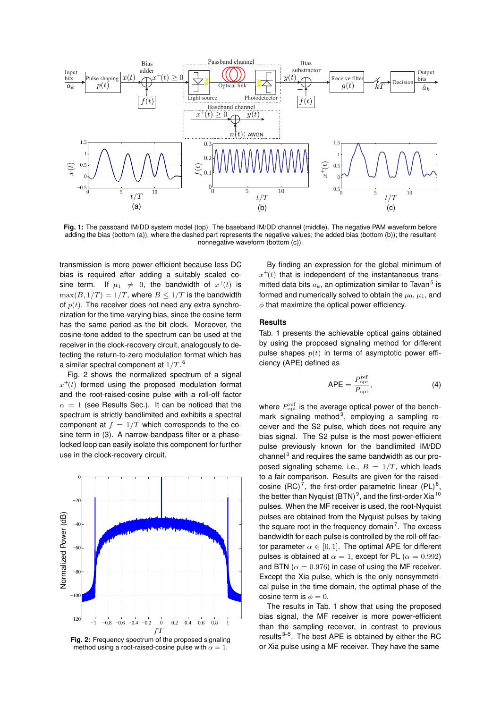

<span id="page-2-0"></span>**Fig. 1:** The passband IM/DD system model (top). The baseband IM/DD channel (middle). The negative PAM waveform before adding the bias (bottom (a)), where the dashed part represents the negative values; the added bias (bottom (b)); the resultant nonnegative waveform (bottom (c)).

transmission is more power-efficient because less DC bias is required after adding a suitably scaled cosine term. If  $\mu_1 \neq 0$ , the bandwidth of  $x^+(t)$  is  $\max(B, 1/T) = 1/T$ , where  $B \leq 1/T$  is the bandwidth of  $p(t)$ . The receiver does not need any extra synchronization for the time-varying bias, since the cosine term has the same period as the bit clock. Moreover, the cosine-tone added to the spectrum can be used at the receiver in the clock-recovery circuit, analogously to detecting the return-to-zero modulation format which has a similar spectral component at  $1/T$ .  $^6$  $^6$ 

Fig. [2](#page-2-1) shows the normalized spectrum of a signal  $x^+(t)$  formed using the proposed modulation format and the root-raised-cosine pulse with a roll-off factor  $\alpha = 1$  (see Results Sec.). It can be noticed that the spectrum is strictly bandlimited and exhibits a spectral component at  $f = 1/T$  which corresponds to the cosine term in [\(3\)](#page-1-1). A narrow-bandpass filter or a phaselocked loop can easily isolate this component for further use in the clock-recovery circuit.

<span id="page-2-1"></span>

**Fig. 2:** Frequency spectrum of the proposed signaling method using a root-raised-cosine pulse with  $\alpha = 1$ .

By finding an expression for the global minimum of  $x^+(t)$  that is independent of the instantaneous transmitted data bits  $a_k$ , an optimization similar to Tavan<sup>[5](#page-3-4)</sup> is formed and numerically solved to obtain the  $\mu_0$ ,  $\mu_1$ , and  $\phi$  that maximize the optical power efficiency.

## **Results**

Tab. [1](#page-3-7) presents the achievable optical gains obtained by using the proposed signaling method for different pulse shapes  $p(t)$  in terms of asymptotic power efficiency (APE) defined as

$$
APE = \frac{P_{\rm opt}^{\rm ref}}{P_{\rm opt}},\tag{4}
$$

where  $P_{\rm opt}^{\rm ref}$  is the average optical power of the benchmark signaling method $3$ , employing a sampling receiver and the S2 pulse, which does not require any bias signal. The S2 pulse is the most power-efficient pulse previously known for the bandlimited IM/DD channel $3$  and requires the same bandwidth as our proposed signaling scheme, i.e.,  $B = 1/T$ , which leads to a fair comparison. Results are given for the raised-cosine (RC)<sup>[7](#page-3-6)</sup>, the first-order parametric linear (PL)<sup>[8](#page-3-8)</sup>, the better than Nyquist (BTN)<sup>[9](#page-3-9)</sup>, and the first-order Xia<sup>[10](#page-3-10)</sup> pulses. When the MF receiver is used, the root-Nyquist pulses are obtained from the Nyquist pulses by taking the square root in the frequency domain<sup>[7](#page-3-6)</sup>. The excess bandwidth for each pulse is controlled by the roll-off factor parameter  $\alpha \in [0, 1]$ . The optimal APE for different pulses is obtained at  $\alpha = 1$ , except for PL ( $\alpha = 0.992$ ) and BTN ( $\alpha = 0.976$ ) in case of using the MF receiver. Except the Xia pulse, which is the only nonsymmetrical pulse in the time domain, the optimal phase of the cosine term is  $\phi = 0$ .

The results in Tab. [1](#page-3-7) show that using the proposed bias signal, the MF receiver is more power-efficient than the sampling receiver, in contrast to previous results $3-5$  $3-5$ . The best APE is obtained by either the RC or Xia pulse using a MF receiver. They have the same